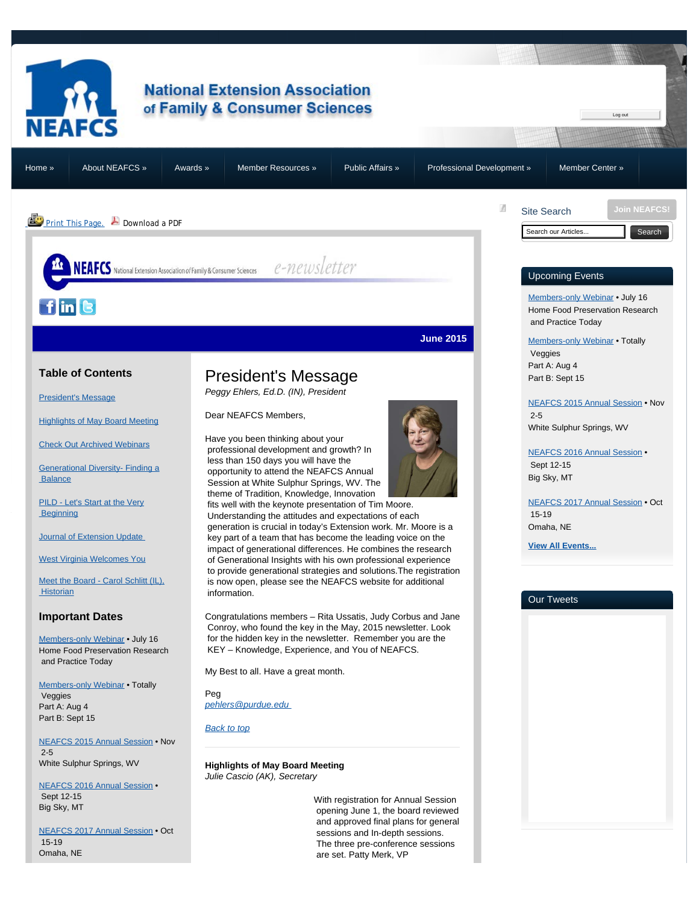<span id="page-0-2"></span>

## **National Extension Association** of Family & Consumer Sciences

[Home »](https://neafcs.memberclicks.net/) [About NEAFCS »](https://neafcs.memberclicks.net/about-neafcs) [Awards »](https://neafcs.memberclicks.net/awards) [Member Resources »](https://neafcs.memberclicks.net/member-resources) [Public Affairs »](https://neafcs.memberclicks.net/public-affairs) [Professional Development »](https://neafcs.memberclicks.net/professional-development) [Member Center »](https://neafcs.memberclicks.net/member-center)

**PrintThis Page.** Download a PDF

A

Log out

**[Join NEAFCS!](https://neafcs.memberclicks.net/join-neafcs)**

Site Search [Search](#page-0-2) our Articles... **Search** 

## Upcoming Events

[Members-only Webinar](https://neafcs.memberclicks.net/index.php?option=com_mc&view=mc&mcid=9) • July 16 Home Food Preservation Research and Practice Today

[Members-only Webinar](https://neafcs.memberclicks.net/index.php?option=com_mc&view=mc&mcid=9) • Totally Veggies Part A: Aug 4 Part B: Sept 15

[NEAFCS 2015 Annual Session](https://neafcs.memberclicks.net/index.php?option=com_mc&view=mc&mcid=9) • Nov 2-5 White Sulphur Springs, WV

[NEAFCS 2016 Annual Session](https://neafcs.memberclicks.net/index.php?option=com_mc&view=mc&mcid=9) • Sept 12-15 Big Sky, MT

[NEAFCS 2017 Annual Session](https://neafcs.memberclicks.net/index.php?option=com_mc&view=mc&mcid=9) • Oct 15-19 Omaha, NE

**[View All Events...](https://neafcs.memberclicks.net/index.php?option=com_mc&view=mc&mcid=9)**

## Our Tweets

## <span id="page-0-0"></span>**Table of Contents**

[President's Message](#page-0-0)

 $f\|$ in $\|$ B

**[Highlights of May Board Meeting](#page-0-1)** 

[Check Out Archived Webinars](#page-1-0)

[Generational Diversity- Finding a](#page-2-0) **Balance** 

[PILD - Let's Start at the Very](#page-3-0) **Beginning** 

[Journal of Extension Update](#page-4-0)

[West Virginia Welcomes You](#page-4-1)

[Meet](#page-5-0) the Board [- Carol Schlitt \(IL\),](#page-5-0) **Historian** 

## **Important Dates**

[Members-only Webinar](https://neafcs.memberclicks.net/index.php?option=com_mc&view=mc&mcid=9) • July 16 Home Food Preservation Research and Practice Today

[Members-only Webinar](https://neafcs.memberclicks.net/index.php?option=com_mc&view=mc&mcid=9) • Totally Veggies Part A: Aug 4 Part B: Sept 15

[NEAFCS 2015 Annual Session](https://neafcs.memberclicks.net/index.php?option=com_mc&view=mc&mcid=9) • Nov 2-5 White Sulphur Springs, WV

<span id="page-0-1"></span>[NEAFCS 2016 Annual Session](https://neafcs.memberclicks.net/index.php?option=com_mc&view=mc&mcid=9) • Sept 12-15 Big Sky, MT

[NEAFCS 2017 Annual Session](https://neafcs.memberclicks.net/index.php?option=com_mc&view=mc&mcid=9) • Oct 15-19 Omaha, NE

# President's Message

*Peggy Ehlers, Ed.D. (IN), President*

Dear NEAFCS Members,

NEAFCS National Extension Association of Family & Consumer Sciences enter  $e$  - new sletter

Have you been thinking about your professional development and growth? In less than 150 days you will have the opportunity to attend the NEAFCS Annual Session at White Sulphur Springs, WV. The theme of Tradition, Knowledge, Innovation

 fits well with the keynote presentation of Tim Moore. Understanding the attitudes and expectations of each generation is crucial in today's Extension work. Mr. Moore is a

 key part of a team that has become the leading voice on the impact of generational differences. He combines the research of Generational Insights with his own professional experience to provide generational strategies and solutions.The registration is now open, please see the NEAFCS website for additional information.

Congratulations members – Rita Ussatis, Judy Corbus and Jane Conroy, who found the key in the May, 2015 newsletter. Look for the hidden key in the newsletter. Remember you are the KEY – Knowledge, Experience, and You of NEAFCS.

My Best to all. Have a great month.

Peg *[pehlers@purdue.edu](mailto:pehlers@purdue.edu)* 

*[Back to top](#page-0-0)*

**Highlights of May Board Meeting** *Julie Cascio (AK), Secretary*

> With registration for Annual Session opening June 1, the board reviewed and approved final plans for general sessions and In-depth sessions. The three pre-conference sessions are set. Patty Merk, VP



**June 2015**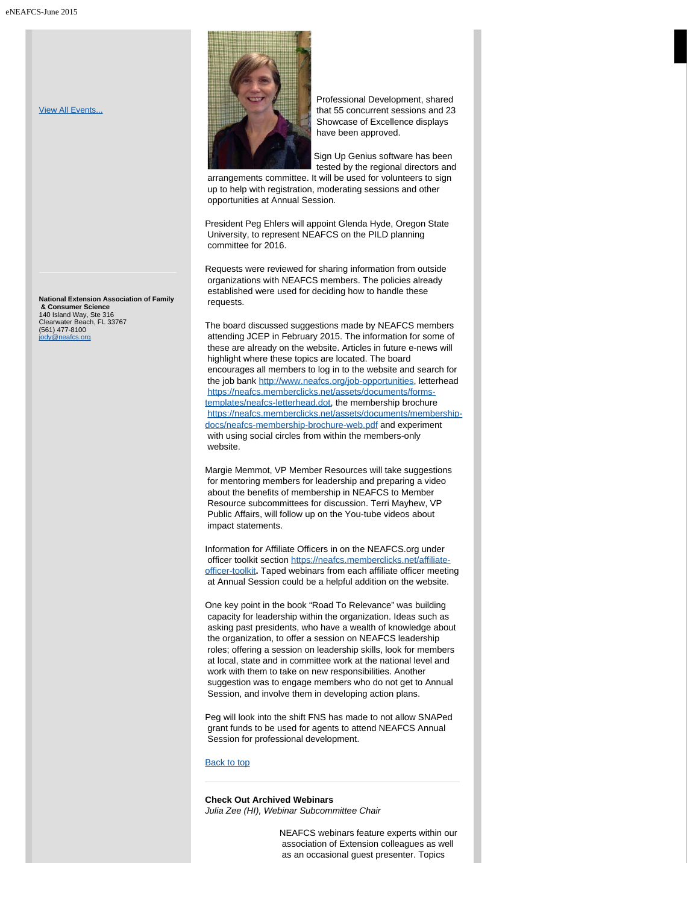[View All Events...](https://neafcs.memberclicks.net/index.php?option=com_mc&view=mc&mcid=9)

**National Extension Association of Family & Consumer Science** 140 Island Way, Ste 316 Clearwater Beach, FL 33767 (561) 477-8100 [jody@neafcs.org](mailto:jody@neafcs.org)



 Professional Development, shared that 55 concurrent sessions and 23 Showcase of Excellence displays have been approved.

Sign Up Genius software has been tested by the regional directors and

 arrangements committee. It will be used for volunteers to sign up to help with registration, moderating sessions and other opportunities at Annual Session.

President Peg Ehlers will appoint Glenda Hyde, Oregon State University, to represent NEAFCS on the PILD planning committee for 2016.

Requests were reviewed for sharing information from outside organizations with NEAFCS members. The policies already established were used for deciding how to handle these requests.

The board discussed suggestions made by NEAFCS members attending JCEP in February 2015. The information for some of these are already on the website. Articles in future e-news will highlight where these topics are located. The board encourages all members to log in to the website and search for the job bank <http://www.neafcs.org/job-opportunities>, letterhead [https://neafcs.memberclicks.net/assets/documents/forms](https://neafcs.memberclicks.net/assets/documents/forms-templates/neafcs-letterhead.dot)[templates/neafcs-letterhead.dot,](https://neafcs.memberclicks.net/assets/documents/forms-templates/neafcs-letterhead.dot) the membership brochure [https://neafcs.memberclicks.net/assets/documents/membership](https://neafcs.memberclicks.net/assets/documents/membership-docs/neafcs-membership-brochure-web.pdf)[docs/neafcs-membership-brochure-web.pdf](https://neafcs.memberclicks.net/assets/documents/membership-docs/neafcs-membership-brochure-web.pdf) and experiment with using social circles from within the members-only website.

Margie Memmot, VP Member Resources will take suggestions for mentoring members for leadership and preparing a video about the benefits of membership in NEAFCS to Member Resource subcommittees for discussion. Terri Mayhew, VP Public Affairs, will follow up on the You-tube videos about impact statements.

Information for Affiliate Officers in on the NEAFCS.org under officer toolkit section [https://neafcs.memberclicks.net/affiliate](https://neafcs.memberclicks.net/affiliate-officer-toolkit)[officer-toolkit](https://neafcs.memberclicks.net/affiliate-officer-toolkit)**.** Taped webinars from each affiliate officer meeting at Annual Session could be a helpful addition on the website.

One key point in the book "Road To Relevance" was building capacity for leadership within the organization. Ideas such as asking past presidents, who have a wealth of knowledge about the organization, to offer a session on NEAFCS leadership roles; offering a session on leadership skills, look for members at local, state and in committee work at the national level and work with them to take on new responsibilities. Another suggestion was to engage members who do not get to Annual Session, and involve them in developing action plans.

Peg will look into the shift FNS has made to not allow SNAPed grant funds to be used for agents to attend NEAFCS Annual Session for professional development.

#### [Back to top](#page-0-0)

<span id="page-1-0"></span>**Check Out Archived Webinars** *Julia Zee (HI), Webinar Subcommittee Chair*

> NEAFCS webinars feature experts within our association of Extension colleagues as well as an occasional guest presenter. Topics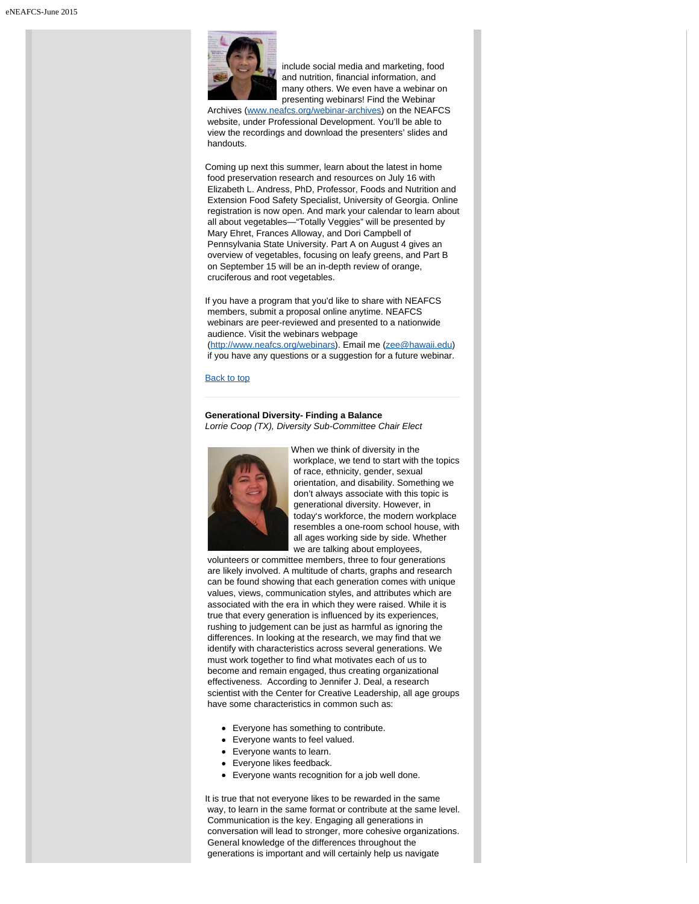

 include social media and marketing, food and nutrition, financial information, and many others. We even have a webinar on presenting webinars! Find the Webinar

 Archives ([www.neafcs.org/webinar-archives](http://www.neafcs.org/webinar-archives)) on the NEAFCS website, under Professional Development. You'll be able to view the recordings and download the presenters' slides and handouts.

Coming up next this summer, learn about the latest in home food preservation research and resources on July 16 with Elizabeth L. Andress, PhD, Professor, Foods and Nutrition and Extension Food Safety Specialist, University of Georgia. Online registration is now open. And mark your calendar to learn about all about vegetables—"Totally Veggies" will be presented by Mary Ehret, Frances Alloway, and Dori Campbell of Pennsylvania State University. Part A on August 4 gives an overview of vegetables, focusing on leafy greens, and Part B on September 15 will be an in-depth review of orange, cruciferous and root vegetables.

If you have a program that you'd like to share with NEAFCS members, submit a proposal online anytime. NEAFCS webinars are peer-reviewed and presented to a nationwide audience. Visit the webinars webpage [\(http://www.neafcs.org/webinars](http://www.neafcs.org/webinars)). Email me [\(zee@hawaii.edu](mailto:zee@hawaii.edu)) if you have any questions or a suggestion for a future webinar.

#### [Back to top](#page-0-0)

#### **Generational Diversity- Finding a Balance** *Lorrie Coop (TX), Diversity Sub-Committee Chair Elect*

<span id="page-2-0"></span>

When we think of diversity in the workplace, we tend to start with the topics of race, ethnicity, gender, sexual orientation, and disability. Something we don't always associate with this topic is generational diversity. However, in today's workforce, the modern workplace resembles a one-room school house, with all ages working side by side. Whether we are talking about employees,

 volunteers or committee members, three to four generations are likely involved. A multitude of charts, graphs and research can be found showing that each generation comes with unique values, views, communication styles, and attributes which are associated with the era in which they were raised. While it is true that every generation is influenced by its experiences, rushing to judgement can be just as harmful as ignoring the differences. In looking at the research, we may find that we identify with characteristics across several generations. We must work together to find what motivates each of us to become and remain engaged, thus creating organizational effectiveness. According to Jennifer J. Deal, a research scientist with the Center for Creative Leadership, all age groups have some characteristics in common such as:

- Everyone has something to contribute.
- Everyone wants to feel valued.
- Everyone wants to learn.
- Everyone likes feedback.
- Everyone wants recognition for a job well done.

It is true that not everyone likes to be rewarded in the same way, to learn in the same format or contribute at the same level. Communication is the key. Engaging all generations in conversation will lead to stronger, more cohesive organizations. General knowledge of the differences throughout the generations is important and will certainly help us navigate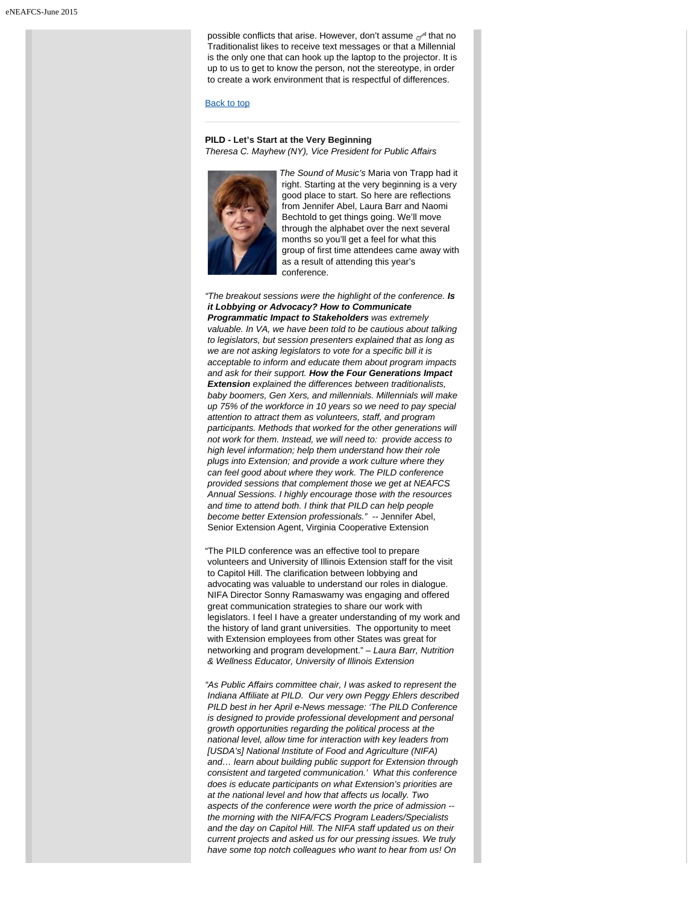possible conflicts that arise. However, don't assume  $\mathcal{P}^*$  that no Traditionalist likes to receive text messages or that a Millennial is the only one that can hook up the laptop to the projector. It is up to us to get to know the person, not the stereotype, in order to create a work environment that is respectful of differences.

#### [Back to top](#page-0-0)

#### **PILD - Let's Start at the Very Beginning** *Theresa C. Mayhew (NY), Vice President for Public Affairs*

<span id="page-3-0"></span>

*The Sound of Music's* Maria von Trapp had it right. Starting at the very beginning is a very good place to start. So here are reflections from Jennifer Abel, Laura Barr and Naomi Bechtold to get things going. We'll move through the alphabet over the next several months so you'll get a feel for what this group of first time attendees came away with as a result of attending this year's conference.

*"The breakout sessions were the highlight of the conference. Is it Lobbying or Advocacy? How to Communicate Programmatic Impact to Stakeholders was extremely valuable. In VA, we have been told to be cautious about talking to legislators, but session presenters explained that as long as we are not asking legislators to vote for a specific bill it is acceptable to inform and educate them about program impacts and ask for their support. How the Four Generations Impact Extension explained the differences between traditionalists, baby boomers, Gen Xers, and millennials. Millennials will make up 75% of the workforce in 10 years so we need to pay special attention to attract them as volunteers, staff, and program participants. Methods that worked for the other generations will not work for them. Instead, we will need to: provide access to high level information; help them understand how their role plugs into Extension; and provide a work culture where they can feel good about where they work. The PILD conference provided sessions that complement those we get at NEAFCS Annual Sessions. I highly encourage those with the resources and time to attend both. I think that PILD can help people become better Extension professionals." --* Jennifer Abel, Senior Extension Agent, Virginia Cooperative Extension

"The PILD conference was an effective tool to prepare volunteers and University of Illinois Extension staff for the visit to Capitol Hill. The clarification between lobbying and advocating was valuable to understand our roles in dialogue. NIFA Director Sonny Ramaswamy was engaging and offered great communication strategies to share our work with legislators. I feel I have a greater understanding of my work and the history of land grant universities. The opportunity to meet with Extension employees from other States was great for networking and program development." *– Laura Barr, Nutrition & Wellness Educator, University of Illinois Extension*

*"As Public Affairs committee chair, I was asked to represent the Indiana Affiliate at PILD. Our very own Peggy Ehlers described PILD best in her April e-News message: 'The PILD Conference is designed to provide professional development and personal growth opportunities regarding the political process at the national level, allow time for interaction with key leaders from [USDA's] National Institute of Food and Agriculture (NIFA) and… learn about building public support for Extension through consistent and targeted communication.' What this conference does is educate participants on what Extension's priorities are at the national level and how that affects us locally. Two aspects of the conference were worth the price of admission - the morning with the NIFA/FCS Program Leaders/Specialists and the day on Capitol Hill. The NIFA staff updated us on their current projects and asked us for our pressing issues. We truly have some top notch colleagues who want to hear from us! On*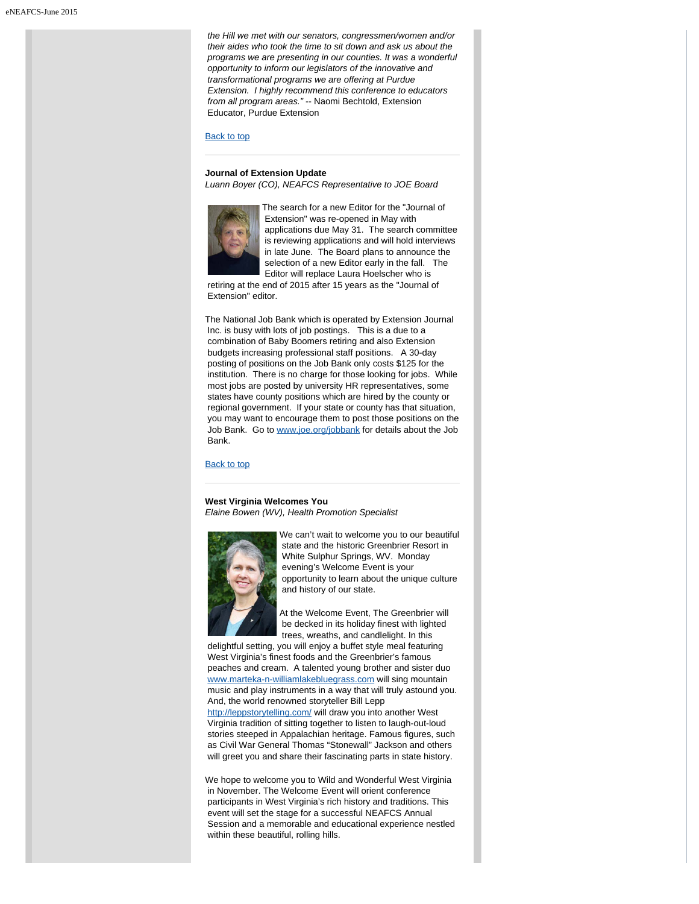*the Hill we met with our senators, congressmen/women and/or their aides who took the time to sit down and ask us about the programs we are presenting in our counties. It was a wonderful opportunity to inform our legislators of the innovative and transformational programs we are offering at Purdue Extension. I highly recommend this conference to educators from all program areas."* -- Naomi Bechtold, Extension Educator, Purdue Extension

#### [Back to top](#page-0-0)

#### <span id="page-4-0"></span>**Journal of Extension Update**

*Luann Boyer (CO), NEAFCS Representative to JOE Board*



The search for a new Editor for the "Journal of Extension" was re-opened in May with applications due May 31. The search committee is reviewing applications and will hold interviews in late June. The Board plans to announce the selection of a new Editor early in the fall. The Editor will replace Laura Hoelscher who is

 retiring at the end of 2015 after 15 years as the "Journal of Extension" editor.

The National Job Bank which is operated by Extension Journal Inc. is busy with lots of job postings. This is a due to a combination of Baby Boomers retiring and also Extension budgets increasing professional staff positions. A 30-day posting of positions on the Job Bank only costs \$125 for the institution. There is no charge for those looking for jobs. While most jobs are posted by university HR representatives, some states have county positions which are hired by the county or regional government. If your state or county has that situation, you may want to encourage them to post those positions on the Job Bank. Go to [www.joe.org/jobbank](http://www.joe.org/jobbank) for details about the Job Bank.

#### [Back to top](#page-0-0)

#### <span id="page-4-1"></span>**West Virginia Welcomes You** *Elaine Bowen (WV), Health Promotion Specialist*



We can't wait to welcome you to our beautiful state and the historic Greenbrier Resort in White Sulphur Springs, WV. Monday evening's Welcome Event is your opportunity to learn about the unique culture and history of our state.

At the Welcome Event, The Greenbrier will be decked in its holiday finest with lighted trees, wreaths, and candlelight. In this

 delightful setting, you will enjoy a buffet style meal featuring West Virginia's finest foods and the Greenbrier's famous peaches and cream. A talented young brother and sister duo [www.marteka-n-williamlakebluegrass.com](http://www.marteka-n-williamlakebluegrass.com/) will sing mountain music and play instruments in a way that will truly astound you. And, the world renowned storyteller Bill Lepp <http://leppstorytelling.com/> will draw you into another West Virginia tradition of sitting together to listen to laugh-out-loud stories steeped in Appalachian heritage. Famous figures, such as Civil War General Thomas "Stonewall" Jackson and others will greet you and share their fascinating parts in state history.

We hope to welcome you to Wild and Wonderful West Virginia in November. The Welcome Event will orient conference participants in West Virginia's rich history and traditions. This event will set the stage for a successful NEAFCS Annual Session and a memorable and educational experience nestled within these beautiful, rolling hills.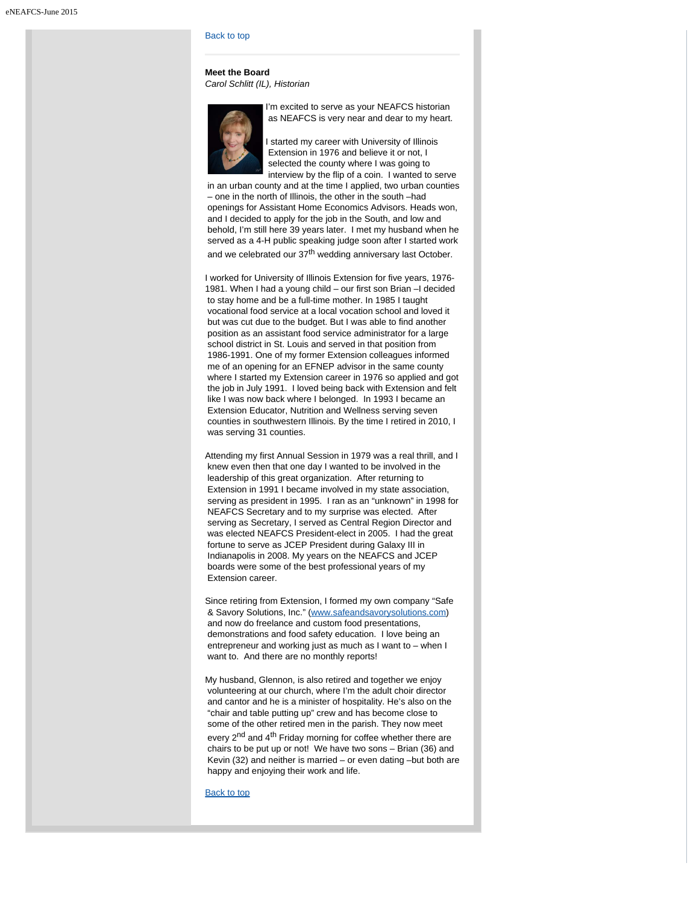#### [Back to top](#page-0-0)

**Meet the Board** *Carol Schlitt (IL), Historian*

<span id="page-5-0"></span>

I'm excited to serve as your NEAFCS historian as NEAFCS is very near and dear to my heart.

I started my career with University of Illinois Extension in 1976 and believe it or not, I selected the county where I was going to interview by the flip of a coin. I wanted to serve

 in an urban county and at the time I applied, two urban counties – one in the north of Illinois, the other in the south –had openings for Assistant Home Economics Advisors. Heads won, and I decided to apply for the job in the South, and low and behold, I'm still here 39 years later. I met my husband when he served as a 4-H public speaking judge soon after I started work and we celebrated our 37<sup>th</sup> wedding anniversary last October.

I worked for University of Illinois Extension for five years, 1976- 1981. When I had a young child – our first son Brian –I decided to stay home and be a full-time mother. In 1985 I taught vocational food service at a local vocation school and loved it but was cut due to the budget. But I was able to find another position as an assistant food service administrator for a large school district in St. Louis and served in that position from 1986-1991. One of my former Extension colleagues informed me of an opening for an EFNEP advisor in the same county where I started my Extension career in 1976 so applied and got the job in July 1991. I loved being back with Extension and felt like I was now back where I belonged. In 1993 I became an Extension Educator, Nutrition and Wellness serving seven counties in southwestern Illinois. By the time I retired in 2010, I was serving 31 counties.

Attending my first Annual Session in 1979 was a real thrill, and I knew even then that one day I wanted to be involved in the leadership of this great organization. After returning to Extension in 1991 I became involved in my state association, serving as president in 1995. I ran as an "unknown" in 1998 for NEAFCS Secretary and to my surprise was elected. After serving as Secretary, I served as Central Region Director and was elected NEAFCS President-elect in 2005. I had the great fortune to serve as JCEP President during Galaxy III in Indianapolis in 2008. My years on the NEAFCS and JCEP boards were some of the best professional years of my Extension career.

Since retiring from Extension, I formed my own company "Safe & Savory Solutions, Inc." [\(www.safeandsavorysolutions.com](http://www.safeandsavorysolutions.com/)) and now do freelance and custom food presentations, demonstrations and food safety education. I love being an entrepreneur and working just as much as I want to – when I want to. And there are no monthly reports!

My husband, Glennon, is also retired and together we enjoy volunteering at our church, where I'm the adult choir director and cantor and he is a minister of hospitality. He's also on the "chair and table putting up" crew and has become close to some of the other retired men in the parish. They now meet every 2<sup>nd</sup> and 4<sup>th</sup> Friday morning for coffee whether there are chairs to be put up or not! We have two sons – Brian (36) and Kevin (32) and neither is married – or even dating –but both are happy and enjoying their work and life.

[Back to top](#page-0-0)